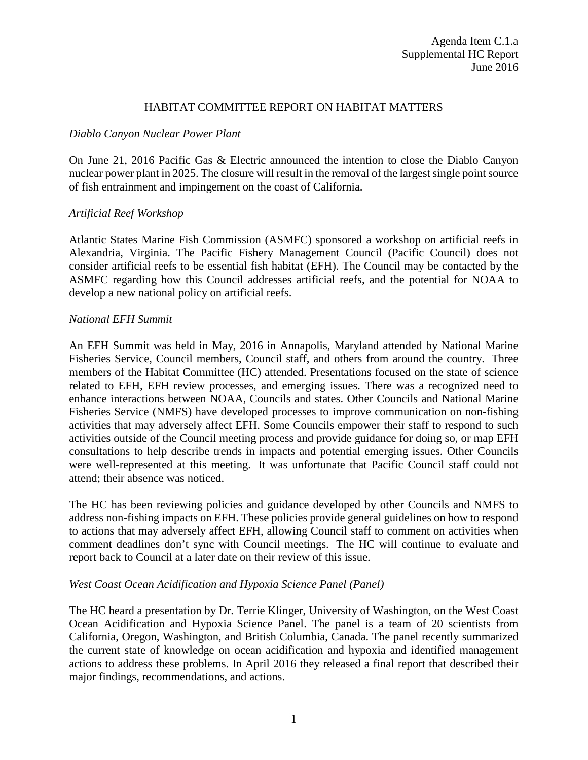### HABITAT COMMITTEE REPORT ON HABITAT MATTERS

### *Diablo Canyon Nuclear Power Plant*

On June 21, 2016 Pacific Gas & Electric announced the intention to close the Diablo Canyon nuclear power plant in 2025. The closure will result in the removal of the largest single point source of fish entrainment and impingement on the coast of California.

# *Artificial Reef Workshop*

Atlantic States Marine Fish Commission (ASMFC) sponsored a workshop on artificial reefs in Alexandria, Virginia. The Pacific Fishery Management Council (Pacific Council) does not consider artificial reefs to be essential fish habitat (EFH). The Council may be contacted by the ASMFC regarding how this Council addresses artificial reefs, and the potential for NOAA to develop a new national policy on artificial reefs.

# *National EFH Summit*

An EFH Summit was held in May, 2016 in Annapolis, Maryland attended by National Marine Fisheries Service, Council members, Council staff, and others from around the country. Three members of the Habitat Committee (HC) attended. Presentations focused on the state of science related to EFH, EFH review processes, and emerging issues. There was a recognized need to enhance interactions between NOAA, Councils and states. Other Councils and National Marine Fisheries Service (NMFS) have developed processes to improve communication on non-fishing activities that may adversely affect EFH. Some Councils empower their staff to respond to such activities outside of the Council meeting process and provide guidance for doing so, or map EFH consultations to help describe trends in impacts and potential emerging issues. Other Councils were well-represented at this meeting. It was unfortunate that Pacific Council staff could not attend; their absence was noticed.

The HC has been reviewing policies and guidance developed by other Councils and NMFS to address non-fishing impacts on EFH. These policies provide general guidelines on how to respond to actions that may adversely affect EFH, allowing Council staff to comment on activities when comment deadlines don't sync with Council meetings. The HC will continue to evaluate and report back to Council at a later date on their review of this issue.

# *West Coast Ocean Acidification and Hypoxia Science Panel (Panel)*

The HC heard a presentation by Dr. Terrie Klinger, University of Washington, on the West Coast Ocean Acidification and Hypoxia Science Panel. The panel is a team of 20 scientists from California, Oregon, Washington, and British Columbia, Canada. The panel recently summarized the current state of knowledge on ocean acidification and hypoxia and identified management actions to address these problems. In April 2016 they released a final report that described their major findings, recommendations, and actions.